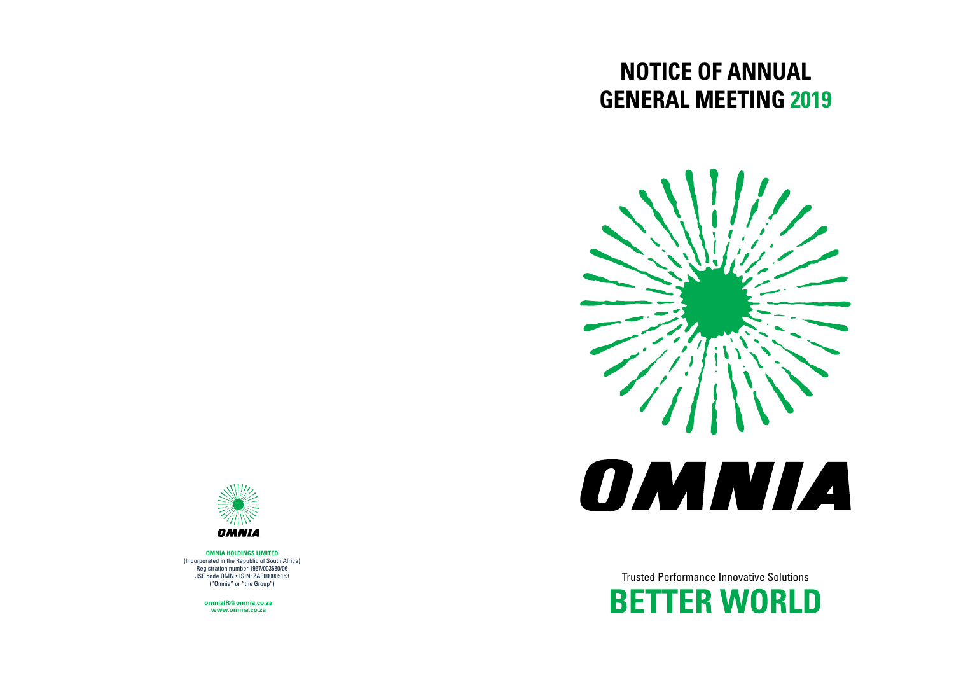# **NOTICE OF ANNUAL GENERAL MEETING 2019**

Trusted Performance Innovative Solutions **BETTER WORLD** 





**OMNIA HOLDINGS LIMITED**  (Incorporated in the Republic of South Africa) Registration number 1967/003680/06 JSE code OMN • ISIN: ZAE000005153 ("Omnia" or "the Group")

> **www.omnia.co.za omniaIR@omnia.co.za**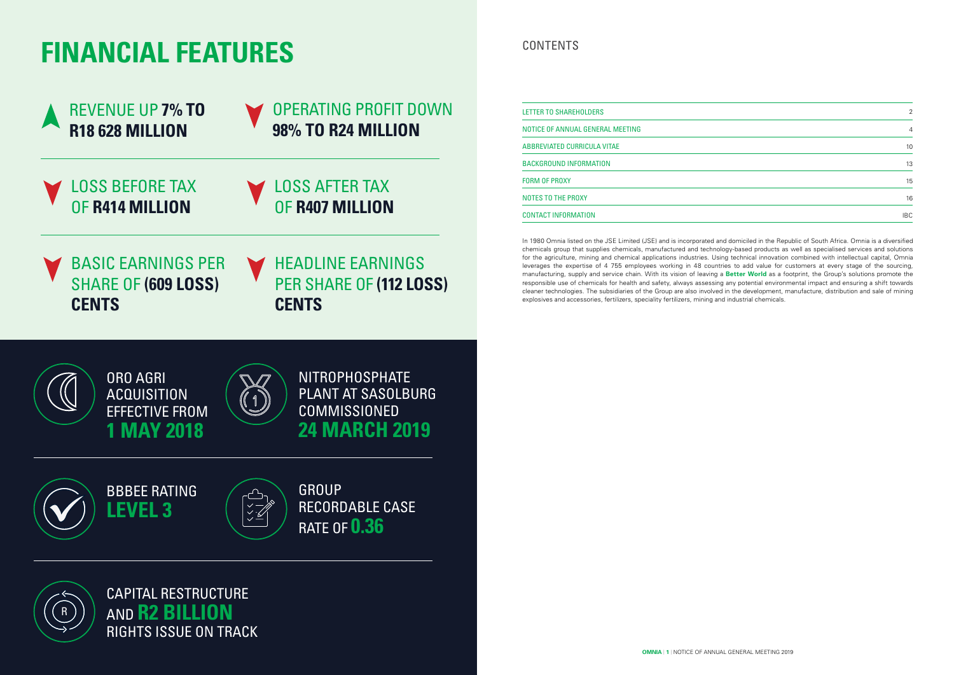| $\overline{2}$ |  |
|----------------|--|
| $\overline{4}$ |  |
| 10             |  |
| 13             |  |
| 15             |  |
| 16             |  |
| <b>IBC</b>     |  |

CONTENTS

| <b>REVENUE UP 7% TO</b>                                                      | <b>OPERATING PROFIT DOWN</b>                                                                                                             | LETTER TO SHAREHOLDERS                                                                                                                                                                                                                                                                                                                                                                                                                                                                                                                                                                                                                                                                                                                                                                                                                                                                                                                                                                                                                                                                |            |
|------------------------------------------------------------------------------|------------------------------------------------------------------------------------------------------------------------------------------|---------------------------------------------------------------------------------------------------------------------------------------------------------------------------------------------------------------------------------------------------------------------------------------------------------------------------------------------------------------------------------------------------------------------------------------------------------------------------------------------------------------------------------------------------------------------------------------------------------------------------------------------------------------------------------------------------------------------------------------------------------------------------------------------------------------------------------------------------------------------------------------------------------------------------------------------------------------------------------------------------------------------------------------------------------------------------------------|------------|
| A<br><b>R18 628 MILLION</b>                                                  | 98% TO R24 MILLION                                                                                                                       | NOTICE OF ANNUAL GENERAL MEETING                                                                                                                                                                                                                                                                                                                                                                                                                                                                                                                                                                                                                                                                                                                                                                                                                                                                                                                                                                                                                                                      |            |
|                                                                              |                                                                                                                                          | ABBREVIATED CURRICULA VITAE                                                                                                                                                                                                                                                                                                                                                                                                                                                                                                                                                                                                                                                                                                                                                                                                                                                                                                                                                                                                                                                           |            |
|                                                                              |                                                                                                                                          | <b>BACKGROUND INFORMATION</b>                                                                                                                                                                                                                                                                                                                                                                                                                                                                                                                                                                                                                                                                                                                                                                                                                                                                                                                                                                                                                                                         | 13         |
| <b>LOSS BEFORE TAX</b>                                                       | <b>LOSS AFTER TAX</b>                                                                                                                    | <b>FORM OF PROXY</b>                                                                                                                                                                                                                                                                                                                                                                                                                                                                                                                                                                                                                                                                                                                                                                                                                                                                                                                                                                                                                                                                  | 15         |
|                                                                              |                                                                                                                                          | NOTES TO THE PROXY                                                                                                                                                                                                                                                                                                                                                                                                                                                                                                                                                                                                                                                                                                                                                                                                                                                                                                                                                                                                                                                                    | 16         |
| OF R414 MILLION                                                              | OF R407 MILLION                                                                                                                          | <b>CONTACT INFORMATION</b>                                                                                                                                                                                                                                                                                                                                                                                                                                                                                                                                                                                                                                                                                                                                                                                                                                                                                                                                                                                                                                                            | <b>IBC</b> |
| <b>BASIC EARNINGS PER</b><br><b>SHARE OF (609 LOSS)</b><br><b>CENTS</b>      | <b>HEADLINE EARNINGS</b><br>PER SHARE OF (112 LOSS)<br><b>CENTS</b>                                                                      | In 1980 Omnia listed on the JSE Limited (JSE) and is incorporated and domiciled in the Republic of South Africa. Omnia is a diversified<br>chemicals group that supplies chemicals, manufactured and technology-based products as well as specialised services and solutions<br>for the agriculture, mining and chemical applications industries. Using technical innovation combined with intellectual capital, Omnia<br>leverages the expertise of 4 755 employees working in 48 countries to add value for customers at every stage of the sourcing<br>manufacturing, supply and service chain. With its vision of leaving a Better World as a footprint, the Group's solutions promote the<br>responsible use of chemicals for health and safety, always assessing any potential environmental impact and ensuring a shift towards<br>cleaner technologies. The subsidiaries of the Group are also involved in the development, manufacture, distribution and sale of mining<br>explosives and accessories, fertilizers, speciality fertilizers, mining and industrial chemicals. |            |
| <b>ORO AGRI</b><br><b>ACQUISITION</b><br><b>EFFECTIVE FROM</b><br>1 MAY 2018 | <b>NITROPHOSPHATE</b><br><b>PLANT AT SASOLBURG</b><br><b>COMMISSIONED</b><br><b>24 MARCH 2019</b>                                        |                                                                                                                                                                                                                                                                                                                                                                                                                                                                                                                                                                                                                                                                                                                                                                                                                                                                                                                                                                                                                                                                                       |            |
| <b>BBBEE RATING</b><br><b>LEVEL 3</b>                                        | <b>GROUP</b><br><b>RECORDABLE CASE</b><br>$\begin{array}{c} \times \rightarrow \\ \times \rightarrow \end{array}$<br><b>RATE OF 0.36</b> |                                                                                                                                                                                                                                                                                                                                                                                                                                                                                                                                                                                                                                                                                                                                                                                                                                                                                                                                                                                                                                                                                       |            |
| <b>CAPITAL RESTRUCTURE</b><br>AND R2 BILLION<br>$\overline{\mathsf{R}}$      |                                                                                                                                          |                                                                                                                                                                                                                                                                                                                                                                                                                                                                                                                                                                                                                                                                                                                                                                                                                                                                                                                                                                                                                                                                                       |            |

# **FINANCIAL FEATURES**

RIGHTS ISSUE ON TRACK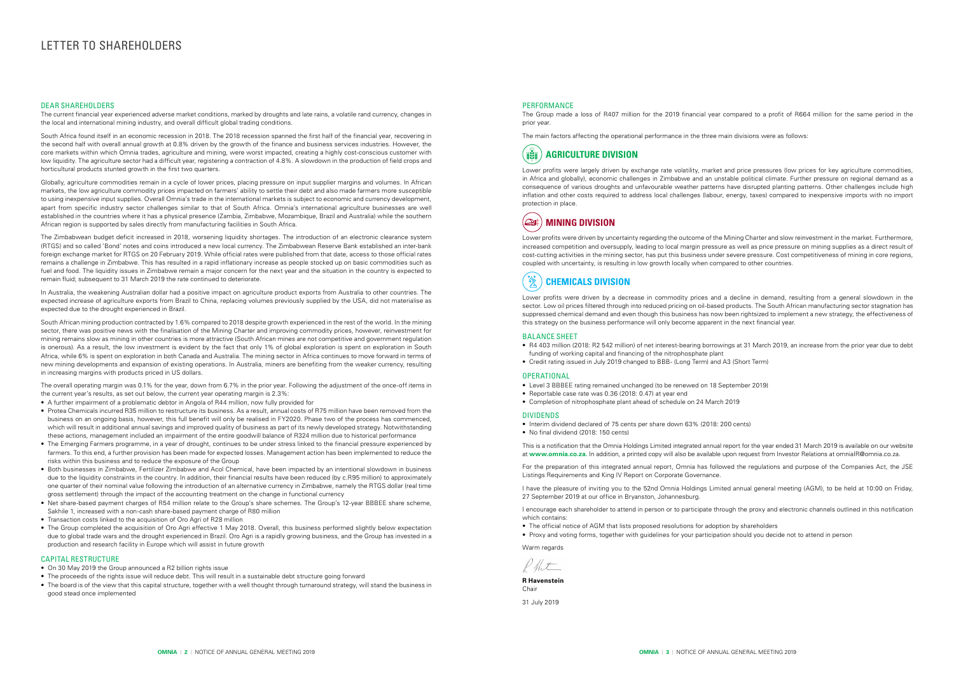# LETTER TO SHAREHOLDERS

#### DEAR SHAREHOLDERS

The current financial year experienced adverse market conditions, marked by droughts and late rains, a volatile rand currency, changes in the local and international mining industry, and overall difficult global trading conditions.

South Africa found itself in an economic recession in 2018. The 2018 recession spanned the first half of the financial year, recovering in the second half with overall annual growth at 0.8% driven by the growth of the finance and business services industries. However, the core markets within which Omnia trades, agriculture and mining, were worst impacted, creating a highly cost-conscious customer with low liquidity. The agriculture sector had a difficult year, registering a contraction of 4.8%. A slowdown in the production of field crops and horticultural products stunted growth in the first two quarters.

Globally, agriculture commodities remain in a cycle of lower prices, placing pressure on input supplier margins and volumes. In African markets, the low agriculture commodity prices impacted on farmers' ability to settle their debt and also made farmers more susceptible to using inexpensive input supplies. Overall Omnia's trade in the international markets is subject to economic and currency development, apart from specific industry sector challenges similar to that of South Africa. Omnia's international agriculture businesses are well established in the countries where it has a physical presence (Zambia, Zimbabwe, Mozambique, Brazil and Australia) while the southern African region is supported by sales directly from manufacturing facilities in South Africa.

The Zimbabwean budget deficit increased in 2018, worsening liquidity shortages. The introduction of an electronic clearance system (RTGS) and so called 'Bond' notes and coins introduced a new local currency. The Zimbabwean Reserve Bank established an inter-bank foreign exchange market for RTGS on 20 February 2019. While official rates were published from that date, access to those official rates remains a challenge in Zimbabwe. This has resulted in a rapid inflationary increase as people stocked up on basic commodities such as fuel and food. The liquidity issues in Zimbabwe remain a major concern for the next year and the situation in the country is expected to remain fluid; subsequent to 31 March 2019 the rate continued to deteriorate.

In Australia, the weakening Australian dollar had a positive impact on agriculture product exports from Australia to other countries. The expected increase of agriculture exports from Brazil to China, replacing volumes previously supplied by the USA, did not materialise as expected due to the drought experienced in Brazil.

- On 30 May 2019 the Group announced a R2 billion rights issue
- The proceeds of the rights issue will reduce debt. This will result in a sustainable debt structure going forward
- The board is of the view that this capital structure, together with a well thought through turnaround strategy, will stand the business in good stead once implemented

South African mining production contracted by 1.6% compared to 2018 despite growth experienced in the rest of the world. In the mining sector, there was positive news with the finalisation of the Mining Charter and improving commodity prices, however, reinvestment for mining remains slow as mining in other countries is more attractive (South African mines are not competitive and government regulation is onerous). As a result, the low investment is evident by the fact that only 1% of global exploration is spent on exploration in South Africa, while 6% is spent on exploration in both Canada and Australia. The mining sector in Africa continues to move forward in terms of new mining developments and expansion of existing operations. In Australia, miners are benefiting from the weaker currency, resulting in increasing margins with products priced in US dollars.

The overall operating margin was 0.1% for the year, down from 6.7% in the prior year. Following the adjustment of the once-off items in the current year's results, as set out below, the current year operating margin is 2.3%:

### $\mathbb{Z}$ **CHEMICALS DIVISION**

- Interim dividend declared of 75 cents per share down 63% (2018: 200 cents)
- No final dividend (2018: 150 cents)

I encourage each shareholder to attend in person or to participate through the proxy and electronic channels outlined in this notification which contains:

- A further impairment of a problematic debtor in Angola of R44 million, now fully provided for
- Protea Chemicals incurred R35 million to restructure its business. As a result, annual costs of R75 million have been removed from the business on an ongoing basis, however, this full benefit will only be realised in FY2020. Phase two of the process has commenced, which will result in additional annual savings and improved quality of business as part of its newly developed strategy. Notwithstanding these actions, management included an impairment of the entire goodwill balance of R324 million due to historical performance
- The Emerging Farmers programme, in a year of drought, continues to be under stress linked to the financial pressure experienced by farmers. To this end, a further provision has been made for expected losses. Management action has been implemented to reduce the risks within this business and to reduce the exposure of the Group
- Both businesses in Zimbabwe, Fertilizer Zimbabwe and Acol Chemical, have been impacted by an intentional slowdown in business due to the liquidity constraints in the country. In addition, their financial results have been reduced (by c.R95 million) to approximately one quarter of their nominal value following the introduction of an alternative currency in Zimbabwe, namely the RTGS dollar (real time gross settlement) through the impact of the accounting treatment on the change in functional currency
- Net share-based payment charges of R54 million relate to the Group's share schemes. The Group's 12-year BBBEE share scheme, Sakhile 1, increased with a non-cash share-based payment charge of R80 million
- Transaction costs linked to the acquisition of Oro Agri of R28 million
- The Group completed the acquisition of Oro Agri effective 1 May 2018. Overall, this business performed slightly below expectation due to global trade wars and the drought experienced in Brazil. Oro Agri is a rapidly growing business, and the Group has invested in a production and research facility in Europe which will assist in future growth

### CAPITAL RESTRUCTURE

#### PERFORMANCE

The Group made a loss of R407 million for the 2019 financial year compared to a profit of R664 million for the same period in the prior year.

The main factors affecting the operational performance in the three main divisions were as follows:



Lower profits were largely driven by exchange rate volatility, market and price pressures (low prices for key agriculture commodities, in Africa and globally), economic challenges in Zimbabwe and an unstable political climate. Further pressure on regional demand as a consequence of various droughts and unfavourable weather patterns have disrupted planting patterns. Other challenges include high inflation and other costs required to address local challenges (labour, energy, taxes) compared to inexpensive imports with no import protection in place.



Lower profits were driven by uncertainty regarding the outcome of the Mining Charter and slow reinvestment in the market. Furthermore, increased competition and oversupply, leading to local margin pressure as well as price pressure on mining supplies as a direct result of cost-cutting activities in the mining sector, has put this business under severe pressure. Cost competitiveness of mining in core regions, coupled with uncertainty, is resulting in low growth locally when compared to other countries.

Lower profits were driven by a decrease in commodity prices and a decline in demand, resulting from a general slowdown in the sector. Low oil prices filtered through into reduced pricing on oil-based products. The South African manufacturing sector stagnation has suppressed chemical demand and even though this business has now been rightsized to implement a new strategy, the effectiveness of this strategy on the business performance will only become apparent in the next financial year.

#### BALANCE SHEET

- R4 403 million (2018: R2 542 million) of net interest-bearing borrowings at 31 March 2019, an increase from the prior year due to debt funding of working capital and financing of the nitrophosphate plant
- Credit rating issued in July 2019 changed to BBB- (Long Term) and A3 (Short Term)

#### **OPERATIONAL**

- Level 3 BBBEE rating remained unchanged (to be renewed on 18 September 2019)
- Reportable case rate was 0.36 (2018: 0.47) at year end
- Completion of nitrophosphate plant ahead of schedule on 24 March 2019

#### DIVIDENDS

This is a notification that the Omnia Holdings Limited integrated annual report for the year ended 31 March 2019 is available on our website at **www.omnia.co.za.** In addition, a printed copy will also be available upon request from Investor Relations at omniaIR@omnia.co.za.

For the preparation of this integrated annual report, Omnia has followed the regulations and purpose of the Companies Act, the JSE Listings Requirements and King IV Report on Corporate Governance.

I have the pleasure of inviting you to the 52nd Omnia Holdings Limited annual general meeting (AGM), to be held at 10:00 on Friday, 27 September 2019 at our office in Bryanston, Johannesburg.

- The official notice of AGM that lists proposed resolutions for adoption by shareholders
- Proxy and voting forms, together with guidelines for your participation should you decide not to attend in person

Warm regards

 $\not\!\!\!D$  the t

**R Havenstein**  Chair 31 July 2019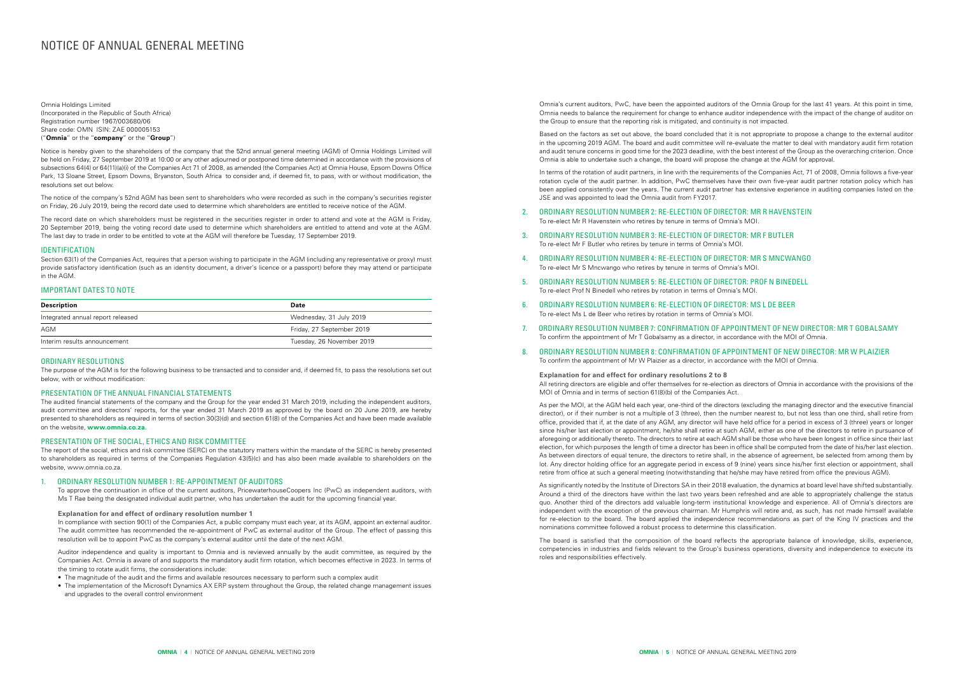# NOTICE OF ANNUAL GENERAL MEETING

Omnia Holdings Limited (Incorporated in the Republic of South Africa) Registration number 1967/003680/06 Share code: OMN ISIN: ZAE 000005153 ("**Omnia**" or the "**company**" or the "**Group**")

Notice is hereby given to the shareholders of the company that the 52nd annual general meeting (AGM) of Omnia Holdings Limited will be held on Friday, 27 September 2019 at 10:00 or any other adjourned or postponed time determined in accordance with the provisions of subsections 64(4) or 64(11)(a)(i) of the Companies Act 71 of 2008, as amended (the Companies Act) at Omnia House, Epsom Downs Office Park, 13 Sloane Street, Epsom Downs, Bryanston, South Africa to consider and, if deemed fit, to pass, with or without modification, the resolutions set out below.

Section 63(1) of the Companies Act, requires that a person wishing to participate in the AGM (including any representative or proxy) must provide satisfactory identification (such as an identity document, a driver's licence or a passport) before they may attend or participate in the AGM.

The notice of the company's 52nd AGM has been sent to shareholders who were recorded as such in the company's securities register on Friday, 26 July 2019, being the record date used to determine which shareholders are entitled to receive notice of the AGM.

The record date on which shareholders must be registered in the securities register in order to attend and vote at the AGM is Friday, 20 September 2019, being the voting record date used to determine which shareholders are entitled to attend and vote at the AGM. The last day to trade in order to be entitled to vote at the AGM will therefore be Tuesday, 17 September 2019.

#### IDENTIFICATION

#### IMPORTANT DATES TO NOTE

| <b>Description</b>                | Date                      |
|-----------------------------------|---------------------------|
| Integrated annual report released | Wednesday, 31 July 2019   |
| AGM                               | Friday, 27 September 2019 |
| Interim results announcement      | Tuesday, 26 November 2019 |

#### ORDINARY RESOLUTIONS

The purpose of the AGM is for the following business to be transacted and to consider and, if deemed fit, to pass the resolutions set out below, with or without modification:

#### PRESENTATION OF THE ANNUAL FINANCIAL STATEMENTS

The audited financial statements of the company and the Group for the year ended 31 March 2019, including the independent auditors, audit committee and directors' reports, for the year ended 31 March 2019 as approved by the board on 20 June 2019, are hereby presented to shareholders as required in terms of section 30(3)(d) and section 61(8) of the Companies Act and have been made available on the website, **www.omnia.co.za.**

#### PRESENTATION OF THE SOCIAL, ETHICS AND RISK COMMITTEE

The report of the social, ethics and risk committee (SERC) on the statutory matters within the mandate of the SERC is hereby presented to shareholders as required in terms of the Companies Regulation 43(5)(c) and has also been made available to shareholders on the website, www.omnia.co.za.

#### 1. ORDINARY RESOLUTION NUMBER 1: RE‑APPOINTMENT OF AUDITORS

To approve the continuation in office of the current auditors, PricewaterhouseCoopers Inc (PwC) as independent auditors, with Ms T Rae being the designated individual audit partner, who has undertaken the audit for the upcoming financial year.

#### **Explanation for and effect of ordinary resolution number 1**

In compliance with section 90(1) of the Companies Act, a public company must each year, at its AGM, appoint an external auditor. The audit committee has recommended the re-appointment of PwC as external auditor of the Group. The effect of passing this resolution will be to appoint PwC as the company's external auditor until the date of the next AGM.

Auditor independence and quality is important to Omnia and is reviewed annually by the audit committee, as required by the Companies Act. Omnia is aware of and supports the mandatory audit firm rotation, which becomes effective in 2023. In terms of the timing to rotate audit firms, the considerations include:

- The magnitude of the audit and the firms and available resources necessary to perform such a complex audit
- The implementation of the Microsoft Dynamics AX ERP system throughout the Group, the related change management issues and upgrades to the overall control environment

Omnia's current auditors, PwC, have been the appointed auditors of the Omnia Group for the last 41 years. At this point in time, Omnia needs to balance the requirement for change to enhance auditor independence with the impact of the change of auditor on the Group to ensure that the reporting risk is mitigated, and continuity is not impacted.

Based on the factors as set out above, the board concluded that it is not appropriate to propose a change to the external auditor in the upcoming 2019 AGM. The board and audit committee will re-evaluate the matter to deal with mandatory audit firm rotation and audit tenure concerns in good time for the 2023 deadline, with the best interest of the Group as the overarching criterion. Once Omnia is able to undertake such a change, the board will propose the change at the AGM for approval.

In terms of the rotation of audit partners, in line with the requirements of the Companies Act, 71 of 2008, Omnia follows a five-year rotation cycle of the audit partner. In addition, PwC themselves have their own five-year audit partner rotation policy which has been applied consistently over the years. The current audit partner has extensive experience in auditing companies listed on the JSE and was appointed to lead the Omnia audit from FY2017.

- 2. ORDINARY RESOLUTION NUMBER 2: RE‑ELECTION OF DIRECTOR: MR R HAVENSTEIN To re-elect Mr R Havenstein who retires by tenure in terms of Omnia's MOI.
- 3. ORDINARY RESOLUTION NUMBER 3: RE‑ELECTION OF DIRECTOR: MR F BUTLER To re-elect Mr F Butler who retires by tenure in terms of Omnia's MOI.
- 4. ORDINARY RESOLUTION NUMBER 4: RE‑ELECTION OF DIRECTOR: MR S MNCWANGO To re-elect Mr S Mncwango who retires by tenure in terms of Omnia's MOI.
- 5. ORDINARY RESOLUTION NUMBER 5: RE‑ELECTION OF DIRECTOR: PROF N BINEDELL To re-elect Prof N Binedell who retires by rotation in terms of Omnia's MOI.
- 6. ORDINARY RESOLUTION NUMBER 6: RE‑ELECTION OF DIRECTOR: MS L DE BEER To re-elect Ms L de Beer who retires by rotation in terms of Omnia's MOI.
- 7. ORDINARY RESOLUTION NUMBER 7: CONFIRMATION OF APPOINTMENT OF NEW DIRECTOR: MR T GOBALSAMY To confirm the appointment of Mr T Gobalsamy as a director, in accordance with the MOI of Omnia.
- 8. ORDINARY RESOLUTION NUMBER 8: CONFIRMATION OF APPOINTMENT OF NEW DIRECTOR: MR W PLAIZIER To confirm the appointment of Mr W Plaizier as a director, in accordance with the MOI of Omnia.

**Explanation for and effect for ordinary resolutions 2 to 8** All retiring directors are eligible and offer themselves for re-election as directors of Omnia in accordance with the provisions of the MOI of Omnia and in terms of section 61(8)(b) of the Companies Act.

As per the MOI, at the AGM held each year, one-third of the directors (excluding the managing director and the executive financial director), or if their number is not a multiple of 3 (three), then the number nearest to, but not less than one third, shall retire from office, provided that if, at the date of any AGM, any director will have held office for a period in excess of 3 (three) years or longer since his/her last election or appointment, he/she shall retire at such AGM, either as one of the directors to retire in pursuance of aforegoing or additionally thereto. The directors to retire at each AGM shall be those who have been longest in office since their last election, for which purposes the length of time a director has been in office shall be computed from the date of his/her last election. As between directors of equal tenure, the directors to retire shall, in the absence of agreement, be selected from among them by lot. Any director holding office for an aggregate period in excess of 9 (nine) years since his/her first election or appointment, shall retire from office at such a general meeting (notwithstanding that he/she may have retired from office the previous AGM).

As significantly noted by the Institute of Directors SA in their 2018 evaluation, the dynamics at board level have shifted substantially. Around a third of the directors have within the last two years been refreshed and are able to appropriately challenge the status quo. Another third of the directors add valuable long-term institutional knowledge and experience. All of Omnia's directors are independent with the exception of the previous chairman. Mr Humphris will retire and, as such, has not made himself available for re-election to the board. The board applied the independence recommendations as part of the King IV practices and the nominations committee followed a robust process to determine this classification.

The board is satisfied that the composition of the board reflects the appropriate balance of knowledge, skills, experience, competencies in industries and fields relevant to the Group's business operations, diversity and independence to execute its roles and responsibilities effectively.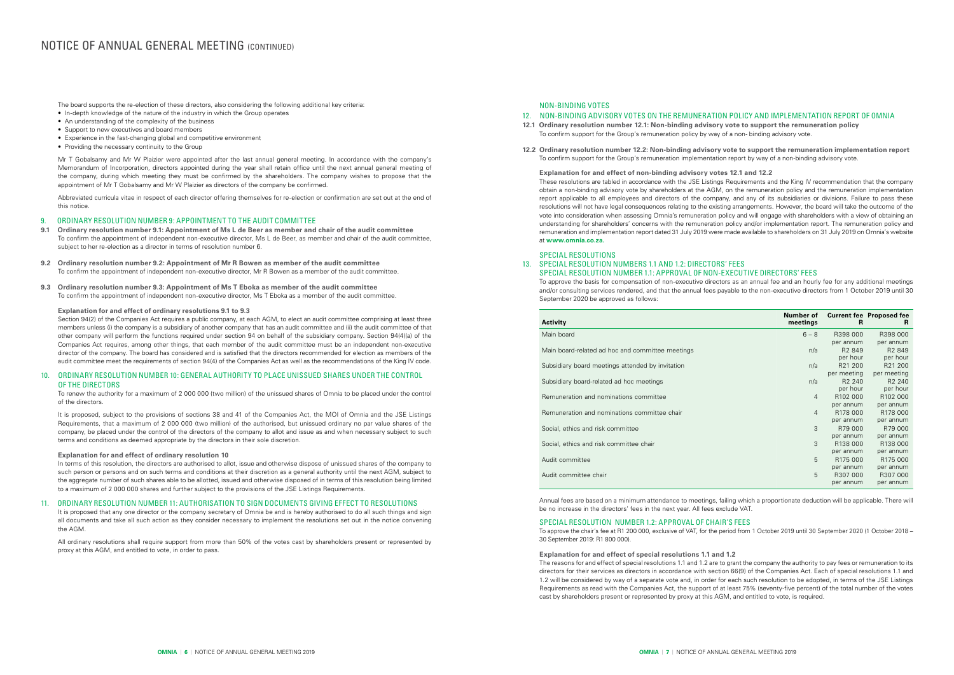The board supports the re-election of these directors, also considering the following additional key criteria:

- In-depth knowledge of the nature of the industry in which the Group operates
- An understanding of the complexity of the business
- Support to new executives and board members
- Experience in the fast-changing global and competitive environment
- Providing the necessary continuity to the Group

Mr T Gobalsamy and Mr W Plaizier were appointed after the last annual general meeting. In accordance with the company's Memorandum of Incorporation, directors appointed during the year shall retain office until the next annual general meeting of the company, during which meeting they must be confirmed by the shareholders. The company wishes to propose that the appointment of Mr T Gobalsamy and Mr W Plaizier as directors of the company be confirmed.

Abbreviated curricula vitae in respect of each director offering themselves for re-election or confirmation are set out at the end of this notice.

#### 9. ORDINARY RESOLUTION NUMBER 9: APPOINTMENT TO THE AUDIT COMMITTEE

- **9.1 Ordinary resolution number 9.1: Appointment of Ms L de Beer as member and chair of the audit committee** To confirm the appointment of independent non-executive director, Ms L de Beer, as member and chair of the audit committee, subject to her re-election as a director in terms of resolution number 6.
- **9.2 Ordinary resolution number 9.2: Appointment of Mr R Bowen as member of the audit committee** To confirm the appointment of independent non-executive director, Mr R Bowen as a member of the audit committee.
- **9.3 Ordinary resolution number 9.3: Appointment of Ms T Eboka as member of the audit committee** To confirm the appointment of independent non-executive director, Ms T Eboka as a member of the audit committee.

#### **Explanation for and effect of ordinary resolutions 9.1 to 9.3**

Section 94(2) of the Companies Act requires a public company, at each AGM, to elect an audit committee comprising at least three members unless (i) the company is a subsidiary of another company that has an audit committee and (ii) the audit committee of that other company will perform the functions required under section 94 on behalf of the subsidiary company. Section 94(4)(a) of the Companies Act requires, among other things, that each member of the audit committee must be an independent non-executive director of the company. The board has considered and is satisfied that the directors recommended for election as members of the audit committee meet the requirements of section 94(4) of the Companies Act as well as the recommendations of the King IV code.

#### 10. ORDINARY RESOLUTION NUMBER 10: GENERAL AUTHORITY TO PLACE UNISSUED SHARES UNDER THE CONTROL OF THE DIRECTORS

To renew the authority for a maximum of 2 000 000 (two million) of the unissued shares of Omnia to be placed under the control of the directors.

It is proposed, subject to the provisions of sections 38 and 41 of the Companies Act, the MOI of Omnia and the JSE Listings Requirements, that a maximum of 2 000 000 (two million) of the authorised, but unissued ordinary no par value shares of the company, be placed under the control of the directors of the company to allot and issue as and when necessary subject to such terms and conditions as deemed appropriate by the directors in their sole discretion.

#### **Explanation for and effect of ordinary resolution 10**

In terms of this resolution, the directors are authorised to allot, issue and otherwise dispose of unissued shares of the company to such person or persons and on such terms and conditions at their discretion as a general authority until the next AGM, subject to the aggregate number of such shares able to be allotted, issued and otherwise disposed of in terms of this resolution being limited to a maximum of 2 000 000 shares and further subject to the provisions of the JSE Listings Requirements.

#### 11. ORDINARY RESOLUTION NUMBER 11: AUTHORISATION TO SIGN DOCUMENTS GIVING EFFECT TO RESOLUTIONS

It is proposed that any one director or the company secretary of Omnia be and is hereby authorised to do all such things and sign all documents and take all such action as they consider necessary to implement the resolutions set out in the notice convening the AGM.

All ordinary resolutions shall require support from more than 50% of the votes cast by shareholders present or represented by proxy at this AGM, and entitled to vote, in order to pass.

# NOTICE OF ANNUAL GENERAL MEETING (CONTINUED)

#### NON‑BINDING VOTES

### 12. NON‑BINDING ADVISORY VOTES ON THE REMUNERATION POLICY AND IMPLEMENTATION REPORT OF OMNIA

- **12.1 Ordinary resolution number 12.1: Non‑binding advisory vote to support the remuneration policy** To confirm support for the Group's remuneration policy by way of a non- binding advisory vote.
- **12.2 Ordinary resolution number 12.2: Non‑binding advisory vote to support the remuneration implementation report** To confirm support for the Group's remuneration implementation report by way of a non-binding advisory vote.

**Explanation for and effect of non‑binding advisory votes 12.1 and 12.2** These resolutions are tabled in accordance with the JSE Listings Requirements and the King IV recommendation that the company obtain a non-binding advisory vote by shareholders at the AGM, on the remuneration policy and the remuneration implementation report applicable to all employees and directors of the company, and any of its subsidiaries or divisions. Failure to pass these resolutions will not have legal consequences relating to the existing arrangements. However, the board will take the outcome of the vote into consideration when assessing Omnia's remuneration policy and will engage with shareholders with a view of obtaining an understanding for shareholders' concerns with the remuneration policy and/or implementation report. The remuneration policy and remuneration and implementation report dated 31 July 2019 were made available to shareholders on 31 July 2019 on Omnia's website at **www.omnia.co.za.**

#### SPECIAL RESOLUTIONS

### 13. SPECIAL RESOLUTION NUMBERS 1.1 AND 1.2: DIRECTORS' FEES SPECIAL RESOLUTION NUMBER 1.1: APPROVAL OF NON‑EXECUTIVE DIRECTORS' FEES To approve the basis for compensation of non-executive directors as an annual fee and an hourly fee for any additional meetings

and/or consulting services rendered, and that the annual fees payable to the non-executive directors from 1 October 2019 until 30

September 2020 be approved as follows:

### **Activity**

| Activity                                         | Number of<br>meetings | R                    | <b>Current fee Proposed fee</b><br>R |
|--------------------------------------------------|-----------------------|----------------------|--------------------------------------|
| Main board                                       | $6 - 8$               | R398 000             | R398 000                             |
|                                                  |                       | per annum            | per annum                            |
| Main board-related ad hoc and committee meetings | n/a                   | R <sub>2</sub> 849   | R <sub>2</sub> 849                   |
|                                                  |                       | per hour             | per hour                             |
| Subsidiary board meetings attended by invitation | n/a                   | R21 200              | R21 200                              |
|                                                  |                       | per meeting          | per meeting                          |
| Subsidiary board-related ad hoc meetings         | n/a                   | R <sub>2</sub> 240   | R <sub>2</sub> 240                   |
|                                                  |                       | per hour             | per hour                             |
| Remuneration and nominations committee           | $\overline{4}$        | R <sub>102</sub> 000 | R <sub>102</sub> 000                 |
|                                                  |                       | per annum            | per annum                            |
| Remuneration and nominations committee chair     | $\overline{4}$        | R <sub>178</sub> 000 | R <sub>178</sub> 000                 |
|                                                  |                       | per annum            | per annum                            |
| Social, ethics and risk committee                | 3                     | R79 000              | R79 000                              |
|                                                  |                       | per annum            | per annum                            |
| Social, ethics and risk committee chair          | 3                     | R138 000             | R138 000                             |
|                                                  |                       | per annum            | per annum                            |
| Audit committee                                  | 5                     | R175 000             | R175 000                             |
|                                                  |                       | per annum            | per annum                            |
| Audit committee chair                            | 5                     | R307 000             | R307 000                             |
|                                                  |                       | per annum            | per annum                            |

Annual fees are based on a minimum attendance to meetings, failing which a proportionate deduction will be applicable. There will be no increase in the directors' fees in the next year. All fees exclude VAT.

### SPECIAL RESOLUTION NUMBER 1.2: APPROVAL OF CHAIR'S FEES

To approve the chair's fee at R1 200 000, exclusive of VAT, for the period from 1 October 2019 until 30 September 2020 (1 October 2018 – 30 September 2019: R1 800 000).

**Explanation for and effect of special resolutions 1.1 and 1.2** The reasons for and effect of special resolutions 1.1 and 1.2 are to grant the company the authority to pay fees or remuneration to its directors for their services as directors in accordance with section 66(9) of the Companies Act. Each of special resolutions 1.1 and 1.2 will be considered by way of a separate vote and, in order for each such resolution to be adopted, in terms of the JSE Listings Requirements as read with the Companies Act, the support of at least 75% (seventy-five percent) of the total number of the votes cast by shareholders present or represented by proxy at this AGM, and entitled to vote, is required.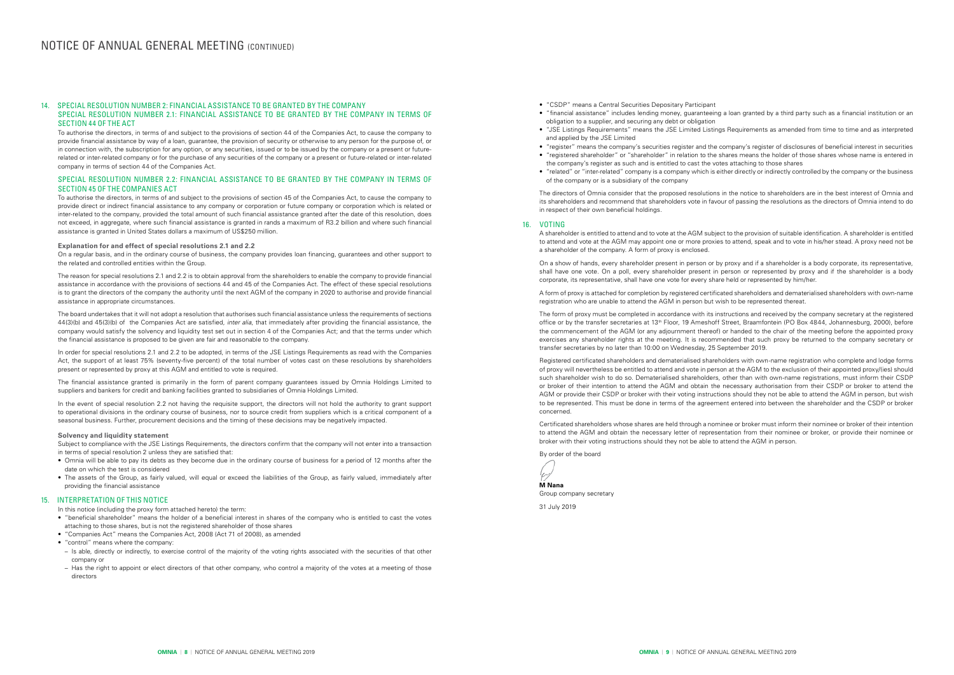#### 14. SPECIAL RESOLUTION NUMBER 2: FINANCIAL ASSISTANCE TO BE GRANTED BY THE COMPANY SPECIAL RESOLUTION NUMBER 2.1: FINANCIAL ASSISTANCE TO BE GRANTED BY THE COMPANY IN TERMS OF SECTION 44 OF THE ACT

To authorise the directors, in terms of and subject to the provisions of section 44 of the Companies Act, to cause the company to provide financial assistance by way of a loan, guarantee, the provision of security or otherwise to any person for the purpose of, or in connection with, the subscription for any option, or any securities, issued or to be issued by the company or a present or futurerelated or inter-related company or for the purchase of any securities of the company or a present or future-related or inter-related company in terms of section 44 of the Companies Act.

#### SPECIAL RESOLUTION NUMBER 2.2: FINANCIAL ASSISTANCE TO BE GRANTED BY THE COMPANY IN TERMS OF SECTION 45 OF THE COMPANIES ACT

To authorise the directors, in terms of and subject to the provisions of section 45 of the Companies Act, to cause the company to provide direct or indirect financial assistance to any company or corporation or future company or corporation which is related or inter-related to the company, provided the total amount of such financial assistance granted after the date of this resolution, does not exceed, in aggregate, where such financial assistance is granted in rands a maximum of R3.2 billion and where such financial assistance is granted in United States dollars a maximum of US\$250 million.

#### **Explanation for and effect of special resolutions 2.1 and 2.2**

On a regular basis, and in the ordinary course of business, the company provides loan financing, guarantees and other support to the related and controlled entities within the Group.

The reason for special resolutions 2.1 and 2.2 is to obtain approval from the shareholders to enable the company to provide financial assistance in accordance with the provisions of sections 44 and 45 of the Companies Act. The effect of these special resolutions is to grant the directors of the company the authority until the next AGM of the company in 2020 to authorise and provide financial assistance in appropriate circumstances.

The board undertakes that it will not adopt a resolution that authorises such financial assistance unless the requirements of sections 44(3)(b) and 45(3)(b) of the Companies Act are satisfied, *inter alia*, that immediately after providing the financial assistance, the company would satisfy the solvency and liquidity test set out in section 4 of the Companies Act; and that the terms under which the financial assistance is proposed to be given are fair and reasonable to the company.

In order for special resolutions 2.1 and 2.2 to be adopted, in terms of the JSE Listings Requirements as read with the Companies Act, the support of at least 75% (seventy-five percent) of the total number of votes cast on these resolutions by shareholders present or represented by proxy at this AGM and entitled to vote is required.

The financial assistance granted is primarily in the form of parent company guarantees issued by Omnia Holdings Limited to suppliers and bankers for credit and banking facilities granted to subsidiaries of Omnia Holdings Limited.

In the event of special resolution 2.2 not having the requisite support, the directors will not hold the authority to grant support to operational divisions in the ordinary course of business, nor to source credit from suppliers which is a critical component of a seasonal business. Further, procurement decisions and the timing of these decisions may be negatively impacted.

#### **Solvency and liquidity statement**

Subject to compliance with the JSE Listings Requirements, the directors confirm that the company will not enter into a transaction in terms of special resolution 2 unless they are satisfied that:

• Omnia will be able to pay its debts as they become due in the ordinary course of business for a period of 12 months after the date on which the test is considered

• The assets of the Group, as fairly valued, will equal or exceed the liabilities of the Group, as fairly valued, immediately after providing the financial assistance

#### 15. INTERPRETATION OF THIS NOTICE

In this notice (including the proxy form attached hereto) the term:

- "beneficial shareholder" means the holder of a beneficial interest in shares of the company who is entitled to cast the votes attaching to those shares, but is not the registered shareholder of those shares
- "Companies Act" means the Companies Act, 2008 (Act 71 of 2008), as amended
- "control" means where the company:
- Is able, directly or indirectly, to exercise control of the majority of the voting rights associated with the securities of that other company or
- Has the right to appoint or elect directors of that other company, who control a majority of the votes at a meeting of those directors

• "JSE Listings Requirements" means the JSE Limited Listings Requirements as amended from time to time and as interpreted

- "CSDP" means a Central Securities Depositary Participant
- "financial assistance" includes lending money, guaranteeing a loan granted by a third party such as a financial institution or an obligation to a supplier, and securing any debt or obligation
- and applied by the JSE Limited
- 
- the company's register as such and is entitled to cast the votes attaching to those shares
- of the company or is a subsidiary of the company

• "register" means the company's securities register and the company's register of disclosures of beneficial interest in securities • "registered shareholder" or "shareholder" in relation to the shares means the holder of those shares whose name is entered in

• "related" or "inter-related" company is a company which is either directly or indirectly controlled by the company or the business

The directors of Omnia consider that the proposed resolutions in the notice to shareholders are in the best interest of Omnia and its shareholders and recommend that shareholders vote in favour of passing the resolutions as the directors of Omnia intend to do in respect of their own beneficial holdings.

#### 16. VOTING

A shareholder is entitled to attend and to vote at the AGM subject to the provision of suitable identification. A shareholder is entitled to attend and vote at the AGM may appoint one or more proxies to attend, speak and to vote in his/her stead. A proxy need not be a shareholder of the company. A form of proxy is enclosed.

On a show of hands, every shareholder present in person or by proxy and if a shareholder is a body corporate, its representative, shall have one vote. On a poll, every shareholder present in person or represented by proxy and if the shareholder is a body corporate, its representative, shall have one vote for every share held or represented by him/her.

A form of proxy is attached for completion by registered certificated shareholders and dematerialised shareholders with own-name registration who are unable to attend the AGM in person but wish to be represented thereat.

The form of proxy must be completed in accordance with its instructions and received by the company secretary at the registered office or by the transfer secretaries at 13th Floor, 19 Ameshoff Street, Braamfontein (PO Box 4844, Johannesburg, 2000), before the commencement of the AGM (or any adjournment thereof) or handed to the chair of the meeting before the appointed proxy exercises any shareholder rights at the meeting. It is recommended that such proxy be returned to the company secretary or transfer secretaries by no later than 10:00 on Wednesday, 25 September 2019.

Registered certificated shareholders and dematerialised shareholders with own-name registration who complete and lodge forms of proxy will nevertheless be entitled to attend and vote in person at the AGM to the exclusion of their appointed proxy/(ies) should such shareholder wish to do so. Dematerialised shareholders, other than with own-name registrations, must inform their CSDP or broker of their intention to attend the AGM and obtain the necessary authorisation from their CSDP or broker to attend the AGM or provide their CSDP or broker with their voting instructions should they not be able to attend the AGM in person, but wish to be represented. This must be done in terms of the agreement entered into between the shareholder and the CSDP or broker concerned.

Certificated shareholders whose shares are held through a nominee or broker must inform their nominee or broker of their intention to attend the AGM and obtain the necessary letter of representation from their nominee or broker, or provide their nominee or broker with their voting instructions should they not be able to attend the AGM in person.

By order of the board

برا

**M Nana** Group company secretary 31 July 2019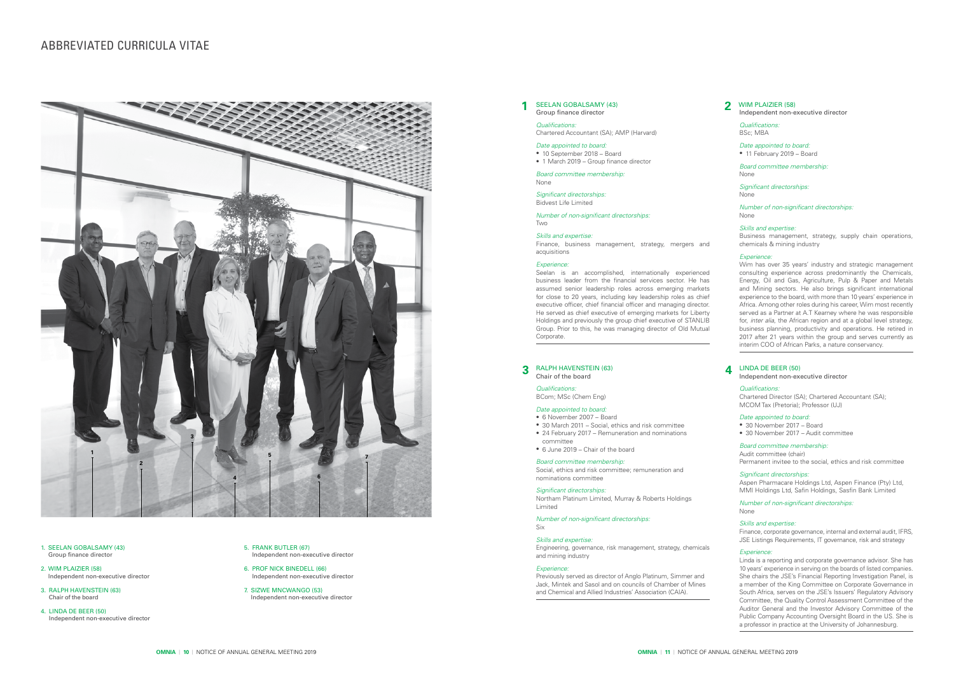

- 1. SEELAN GOBALSAMY (43) Group finance director
- 2. WIM PLAIZIER (58) Independent non-executive director
- 3. RALPH HAVENSTEIN (63) Chair of the board
- 4. LINDA DE BEER (50) Independent non-executive director
- 5. FRANK BUTLER (67) Independent non-executive director
- 6. PROF NICK BINEDELL (66) Independent non-executive director
- 7. SIZWE MNCWANGO (53) Independent non-executive director

### WIM PLAIZIER (58)

#### Independent non-executive director

*Qualifications:* BSc; MBA

*Date appointed to board:* • 11 February 2019 – Board

*Board committee membership:* None

*Significant directorships:* None

*Number of non-significant directorships:* None

#### *Skills and expertise:*

Business management, strategy, supply chain operations, chemicals & mining industry

#### *Experience:*

Wim has over 35 years' industry and strategic management consulting experience across predominantly the Chemicals, Energy, Oil and Gas, Agriculture, Pulp & Paper and Metals and Mining sectors. He also brings significant international experience to the board, with more than 10 years' experience in Africa. Among other roles during his career, Wim most recently served as a Partner at A.T Kearney where he was responsible for, *inter alia*, the African region and at a global level strategy, business planning, productivity and operations. He retired in 2017 after 21 years within the group and serves currently as interim COO of African Parks, a nature conservancy.

#### **3** RALPH HAVENSTEIN (63) **4** LINDA DE BEER (50) **4** Chair of the board Chair of the board

*Qualifications:* Chartered Accountant (SA); AMP (Harvard)

#### *Date appointed to board:*

- 10 September 2018 Board
- 1 March 2019 Group finance director

*Board committee membership:* None

*Significant directorships:*

Bidvest Life Limited

*Number of non-significant directorships:* Two

#### *Skills and expertise:*

Finance, business management, strategy, mergers and acquisitions

#### *Experience:*

#### **2** SEELAN GOBALSAMY (43) Group finance director **1**

Seelan is an accomplished, internationally experienced business leader from the financial services sector. He has assumed senior leadership roles across emerging markets for close to 20 years, including key leadership roles as chief executive officer, chief financial officer and managing director. He served as chief executive of emerging markets for Liberty Holdings and previously the group chief executive of STANLIB Group. Prior to this, he was managing director of Old Mutual Corporate.

*Qualifications:*

BCom; MSc (Chem Eng)

#### *Date appointed to board:*

- 6 November 2007 Board
- 30 March 2011 Social, ethics and risk committee
- 24 February 2017 Remuneration and nominations
- committee • 6 June 2019 – Chair of the board

#### *Board committee membership:*

Social, ethics and risk committee; remuneration and nominations committee

#### *Significant directorships:*

Northam Platinum Limited, Murray & Roberts Holdings Limited

*Number of non-significant directorships:* Six

#### *Skills and expertise:*

Engineering, governance, risk management, strategy, chemicals and mining industry

#### *Experience:*

Previously served as director of Anglo Platinum, Simmer and Jack, Mintek and Sasol and on councils of Chamber of Mines and Chemical and Allied Industries' Association (CAIA).

### *Qualifications:*

Chartered Director (SA); Chartered Accountant (SA); MCOM Tax (Pretoria); Professor (UJ)

#### *Date appointed to board:*

- 30 November 2017 Board
- 30 November 2017 Audit committee

#### *Board committee membership:*

#### Audit committee (chair)

Permanent invitee to the social, ethics and risk committee

*Significant directorships:* 

Aspen Pharmacare Holdings Ltd, Aspen Finance (Pty) Ltd, MMI Holdings Ltd, Safin Holdings, Sasfin Bank Limited

*Number of non-significant directorships:*

None

#### *Skills and expertise:*

Finance, corporate governance, internal and external audit, IFRS, JSE Listings Requirements, IT governance, risk and strategy

#### Independent non-executive director **4**

#### *Experience:*

Linda is a reporting and corporate governance advisor. She has 10 years' experience in serving on the boards of listed companies. She chairs the JSE's Financial Reporting Investigation Panel, is a member of the King Committee on Corporate Governance in South Africa, serves on the JSE's Issuers' Regulatory Advisory Committee, the Quality Control Assessment Committee of the Auditor General and the Investor Advisory Committee of the Public Company Accounting Oversight Board in the US. She is a professor in practice at the University of Johannesburg.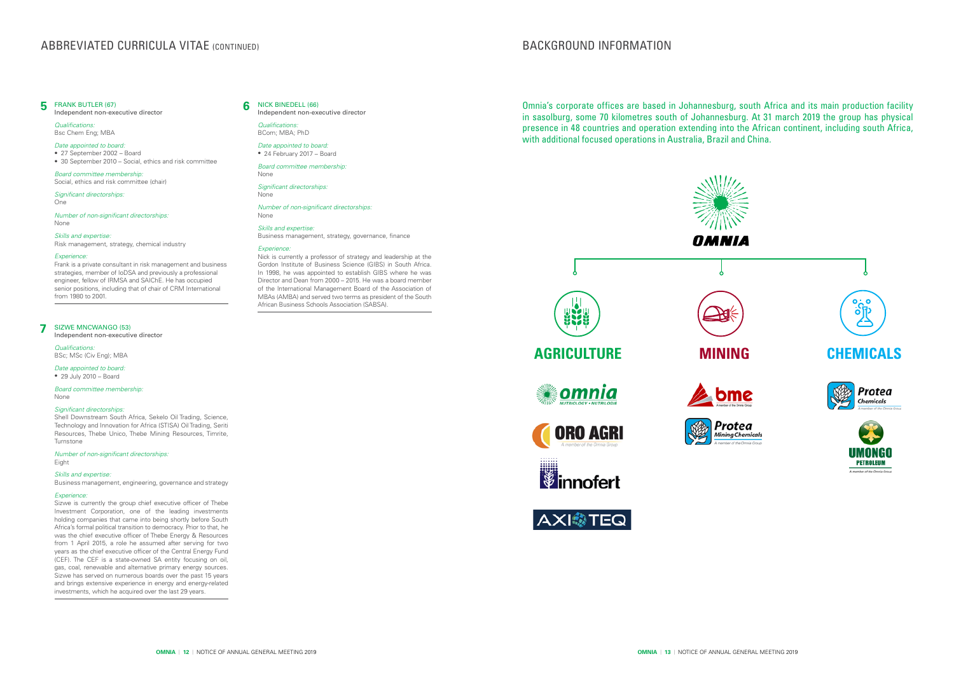Independent non-executive director

*Qualifications:* BCom; MBA; PhD

*Date appointed to board:* • 24 February 2017 – Board

*Board committee membership:* None

*Significant directorships:* None

*Number of non-significant directorships:* None

### *Skills and expertise:*

Business management, strategy, governance, finance

#### *Experience:*

#### NICK BINEDELL (66) **6**

Nick is currently a professor of strategy and leadership at the Gordon Institute of Business Science (GIBS) in South Africa. In 1998, he was appointed to establish GIBS where he was Director and Dean from 2000 – 2015. He was a board member of the International Management Board of the Association of MBAs (AMBA) and served two terms as president of the South African Business Schools Association (SABSA).

Independent non-executive director

*Qualifications:* BSc; MSc (Civ Eng); MBA

*Date appointed to board:* • 29 July 2010 – Board

*Board committee membership:* None

#### *Significant directorships:*

Shell Downstream South Africa, Sekelo Oil Trading, Science, Technology and Innovation for Africa (STISA) Oil Trading, Seriti Resources, Thebe Unico, Thebe Mining Resources, Timrite, Turnstone

*Number of non-significant directorships:* Eight

#### *Skills and expertise:*

Business management, engineering, governance and strategy

#### *Experience:*

#### SIZWE MNCWANGO (53) **7**

Sizwe is currently the group chief executive officer of Thebe Investment Corporation, one of the leading investments holding companies that came into being shortly before South Africa's formal political transition to democracy. Prior to that, he was the chief executive officer of Thebe Energy & Resources from 1 April 2015, a role he assumed after serving for two years as the chief executive officer of the Central Energy Fund (CEF). The CEF is a state-owned SA entity focusing on oil, gas, coal, renewable and alternative primary energy sources. Sizwe has served on numerous boards over the past 15 years and brings extensive experience in energy and energy-related investments, which he acquired over the last 29 years.

Independent non-executive director

*Qualifications:*  Bsc Chem Eng; MBA

#### *Date appointed to board:*

- 27 September 2002 Board
- 30 September 2010 Social, ethics and risk committee

*Board committee membership:*  Social, ethics and risk committee (chair)

*Significant directorships:*  One

*Number of non-significant directorships:* None

#### FRANK BUTLER (67) **5**

*Skills and expertise:* 

### Risk management, strategy, chemical industry

*Experience:*

Frank is a private consultant in risk management and business strategies, member of IoDSA and previously a professional engineer, fellow of IRMSA and SAIChE. He has occupied senior positions, including that of chair of CRM International from 1980 to 2001.

# **ABBREVIATED CURRICULA VITAE (CONTINUED)**

# BACKGROUND INFORMATION









Omnia's corporate offices are based in Johannesburg, south Africa and its main production facility in sasolburg, some 70 kilometres south of Johannesburg. At 31 march 2019 the group has physical presence in 48 countries and operation extending into the African continent, including south Africa, with additional focused operations in Australia, Brazil and China.







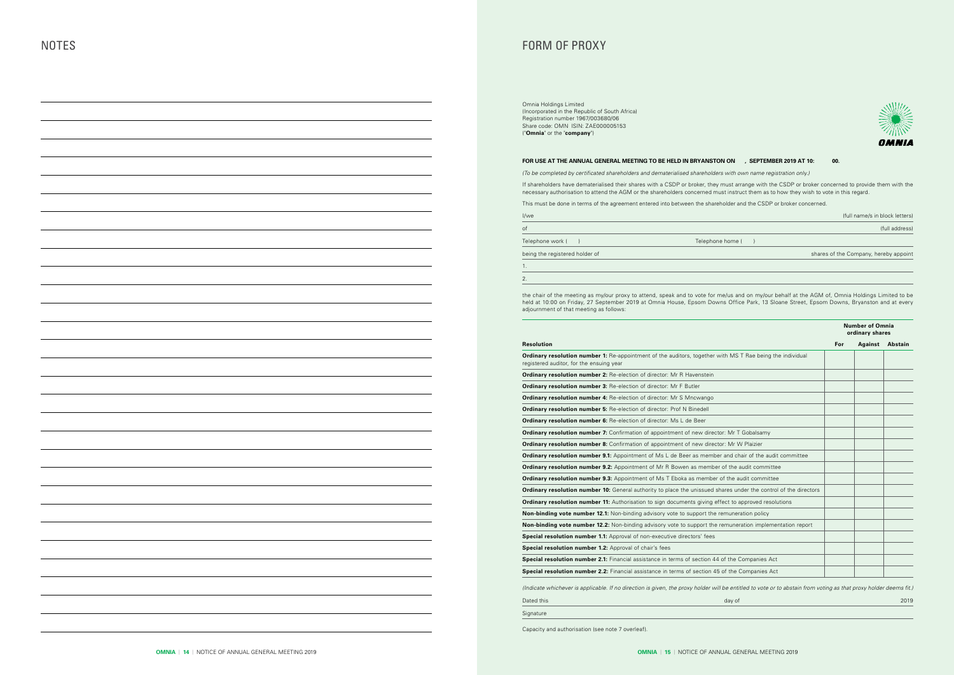| I/we                           |                  | (full name/s in block letters)        |
|--------------------------------|------------------|---------------------------------------|
| of                             |                  | (full address)                        |
| Telephone work (               | Telephone home ( |                                       |
| being the registered holder of |                  | shares of the Company, hereby appoint |
|                                |                  |                                       |
|                                |                  |                                       |
|                                |                  |                                       |

|                                                                                                                                                                  |     | <b>Number of Omnia</b><br>ordinary shares |                 |  |
|------------------------------------------------------------------------------------------------------------------------------------------------------------------|-----|-------------------------------------------|-----------------|--|
| <b>Resolution</b>                                                                                                                                                | For |                                           | Against Abstain |  |
| <b>Ordinary resolution number 1:</b> Re-appointment of the auditors, together with MS T Rae being the individual<br>registered auditor, for the ensuing year     |     |                                           |                 |  |
| Ordinary resolution number 2: Re-election of director: Mr R Havenstein                                                                                           |     |                                           |                 |  |
| Ordinary resolution number 3: Re-election of director: Mr F Butler                                                                                               |     |                                           |                 |  |
| <b>Ordinary resolution number 4: Re-election of director: Mr S Mncwango</b>                                                                                      |     |                                           |                 |  |
| Ordinary resolution number 5: Re-election of director: Prof N Binedell                                                                                           |     |                                           |                 |  |
| <b>Ordinary resolution number 6:</b> Re-election of director: Ms L de Beer                                                                                       |     |                                           |                 |  |
| <b>Ordinary resolution number 7:</b> Confirmation of appointment of new director: Mr T Gobalsamy                                                                 |     |                                           |                 |  |
| <b>Ordinary resolution number 8:</b> Confirmation of appointment of new director: Mr W Plaizier                                                                  |     |                                           |                 |  |
| <b>Ordinary resolution number 9.1:</b> Appointment of Ms L de Beer as member and chair of the audit committee                                                    |     |                                           |                 |  |
| <b>Ordinary resolution number 9.2:</b> Appointment of Mr R Bowen as member of the audit committee                                                                |     |                                           |                 |  |
| <b>Ordinary resolution number 9.3:</b> Appointment of Ms T Eboka as member of the audit committee                                                                |     |                                           |                 |  |
| Ordinary resolution number 10: General authority to place the unissued shares under the control of the directors                                                 |     |                                           |                 |  |
| <b>Ordinary resolution number 11:</b> Authorisation to sign documents giving effect to approved resolutions                                                      |     |                                           |                 |  |
| <b>Non-binding vote number 12.1:</b> Non-binding advisory vote to support the remuneration policy                                                                |     |                                           |                 |  |
| <b>Non-binding vote number 12.2:</b> Non-binding advisory vote to support the remuneration implementation report                                                 |     |                                           |                 |  |
| Special resolution number 1.1: Approval of non-executive directors' fees                                                                                         |     |                                           |                 |  |
| Special resolution number 1.2: Approval of chair's fees                                                                                                          |     |                                           |                 |  |
| <b>Special resolution number 2.1:</b> Financial assistance in terms of section 44 of the Companies Act                                                           |     |                                           |                 |  |
| Special resolution number 2.2: Financial assistance in terms of section 45 of the Companies Act                                                                  |     |                                           |                 |  |
| (Indicate whichever is applicable. If no direction is given, the proxy holder will be entitled to vote or to abstain from voting as that proxy holder deems fit. |     |                                           |                 |  |
| Dated this<br>day of                                                                                                                                             |     |                                           | 2019            |  |
| Signature                                                                                                                                                        |     |                                           |                 |  |

the chair of the meeting as my/our proxy to attend, speak and to vote for me/us and on my/our behalf at the AGM of, Omnia Holdings Limited to be held at 10:00 on Friday, 27 September 2019 at Omnia House, Epsom Downs Office Park, 13 Sloane Street, Epsom Downs, Bryanston and at every adjournment of that meeting as follows:

Capacity and authorisation (see note 7 overleaf).

# FORM OF PROXY

Omnia Holdings Limited (Incorporated in the Republic of South Africa) Registration number 1967/003680/06 Share code: OMN ISIN: ZAE000005153 ("**Omnia**" or the "**company**")

#### **FOR USE AT THE ANNUAL GENERAL MEETING TO BE HELD IN BRYANSTON ON FRIDAY, 27 SEPTEMBER 2019 AT 10:00.**

(To be completed by certificated shareholders and dematerialised shareholders with own name registration only.)

If shareholders have dematerialised their shares with a CSDP or broker, they must arrange with the CSDP or broker concerned to provide them with the necessary authorisation to attend the AGM or the shareholders concerned must instruct them as to how they wish to vote in this regard.

This must be done in terms of the agreement entered into between the shareholder and the CSDP or broker concerned.



(full name/s in block letters)